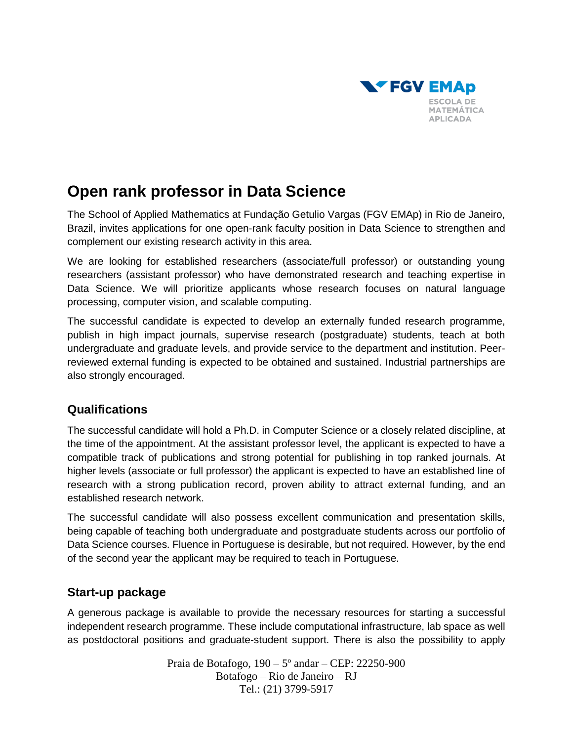

# **Open rank professor in Data Science**

The School of Applied Mathematics at Fundação Getulio Vargas (FGV EMAp) in Rio de Janeiro, Brazil, invites applications for one open-rank faculty position in Data Science to strengthen and complement our existing research activity in this area.

We are looking for established researchers (associate/full professor) or outstanding young researchers (assistant professor) who have demonstrated research and teaching expertise in Data Science. We will prioritize applicants whose research focuses on natural language processing, computer vision, and scalable computing.

The successful candidate is expected to develop an externally funded research programme, publish in high impact journals, supervise research (postgraduate) students, teach at both undergraduate and graduate levels, and provide service to the department and institution. Peerreviewed external funding is expected to be obtained and sustained. Industrial partnerships are also strongly encouraged.

### **Qualifications**

The successful candidate will hold a Ph.D. in Computer Science or a closely related discipline, at the time of the appointment. At the assistant professor level, the applicant is expected to have a compatible track of publications and strong potential for publishing in top ranked journals. At higher levels (associate or full professor) the applicant is expected to have an established line of research with a strong publication record, proven ability to attract external funding, and an established research network.

The successful candidate will also possess excellent communication and presentation skills, being capable of teaching both undergraduate and postgraduate students across our portfolio of Data Science courses. Fluence in Portuguese is desirable, but not required. However, by the end of the second year the applicant may be required to teach in Portuguese.

#### **Start-up package**

A generous package is available to provide the necessary resources for starting a successful independent research programme. These include computational infrastructure, lab space as well as postdoctoral positions and graduate-student support. There is also the possibility to apply

> Praia de Botafogo, 190 – 5º andar – CEP: 22250-900 Botafogo – Rio de Janeiro – RJ Tel.: (21) 3799-5917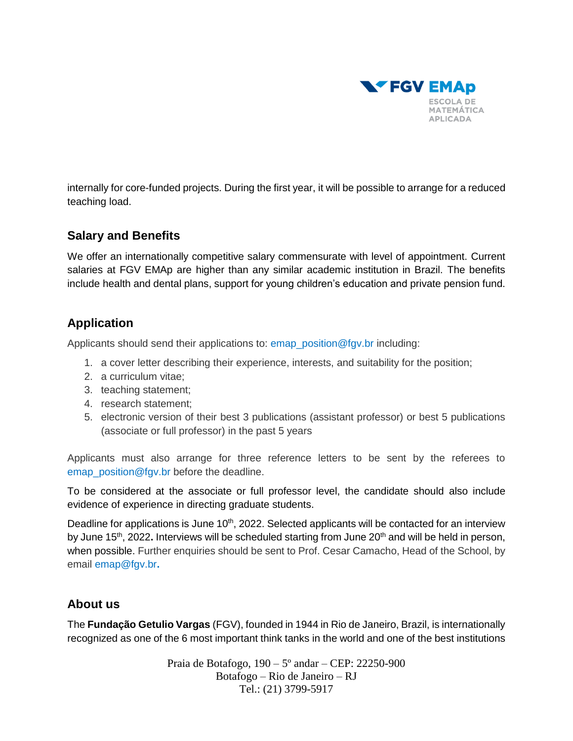

internally for core-funded projects. During the first year, it will be possible to arrange for a reduced teaching load.

### **Salary and Benefits**

We offer an internationally competitive salary commensurate with level of appointment. Current salaries at FGV EMAp are higher than any similar academic institution in Brazil. The benefits include health and dental plans, support for young children's education and private pension fund.

## **Application**

Applicants should send their applications to: emap\_position@fgv.br including:

- 1. a cover letter describing their experience, interests, and suitability for the position;
- 2. a curriculum vitae;
- 3. teaching statement;
- 4. research statement;
- 5. electronic version of their best 3 publications (assistant professor) or best 5 publications (associate or full professor) in the past 5 years

Applicants must also arrange for three reference letters to be sent by the referees to emap position@fgv.br before the deadline.

To be considered at the associate or full professor level, the candidate should also include evidence of experience in directing graduate students.

Deadline for applications is June 10<sup>th</sup>, 2022. Selected applicants will be contacted for an interview by June 15<sup>th</sup>, 2022. Interviews will be scheduled starting from June 20<sup>th</sup> and will be held in person, when possible. Further enquiries should be sent to Prof. Cesar Camacho, Head of the School, by email [emap@fgv.br](mailto:emap@fgv.br)**.**

### **About us**

The **Fundação Getulio Vargas** (FGV), founded in 1944 in Rio de Janeiro, Brazil, is internationally recognized as one of the 6 most important think tanks in the world and one of the best institutions

> Praia de Botafogo, 190 – 5º andar – CEP: 22250-900 Botafogo – Rio de Janeiro – RJ Tel.: (21) 3799-5917